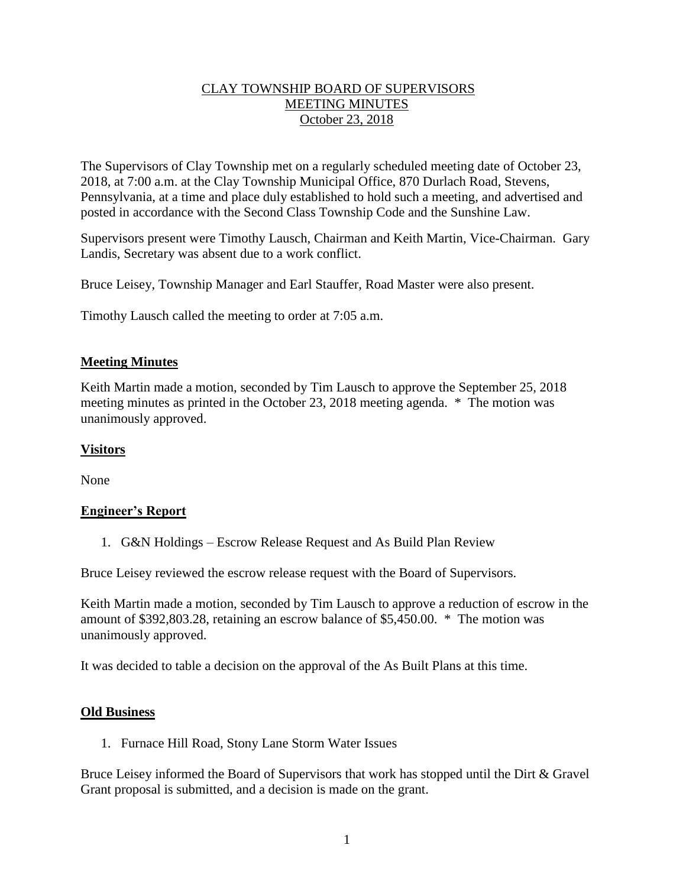# CLAY TOWNSHIP BOARD OF SUPERVISORS MEETING MINUTES October 23, 2018

The Supervisors of Clay Township met on a regularly scheduled meeting date of October 23, 2018, at 7:00 a.m. at the Clay Township Municipal Office, 870 Durlach Road, Stevens, Pennsylvania, at a time and place duly established to hold such a meeting, and advertised and posted in accordance with the Second Class Township Code and the Sunshine Law.

Supervisors present were Timothy Lausch, Chairman and Keith Martin, Vice-Chairman. Gary Landis, Secretary was absent due to a work conflict.

Bruce Leisey, Township Manager and Earl Stauffer, Road Master were also present.

Timothy Lausch called the meeting to order at 7:05 a.m.

## **Meeting Minutes**

Keith Martin made a motion, seconded by Tim Lausch to approve the September 25, 2018 meeting minutes as printed in the October 23, 2018 meeting agenda. \* The motion was unanimously approved.

## **Visitors**

None

## **Engineer's Report**

1. G&N Holdings – Escrow Release Request and As Build Plan Review

Bruce Leisey reviewed the escrow release request with the Board of Supervisors.

Keith Martin made a motion, seconded by Tim Lausch to approve a reduction of escrow in the amount of \$392,803.28, retaining an escrow balance of \$5,450.00. \* The motion was unanimously approved.

It was decided to table a decision on the approval of the As Built Plans at this time.

#### **Old Business**

1. Furnace Hill Road, Stony Lane Storm Water Issues

Bruce Leisey informed the Board of Supervisors that work has stopped until the Dirt & Gravel Grant proposal is submitted, and a decision is made on the grant.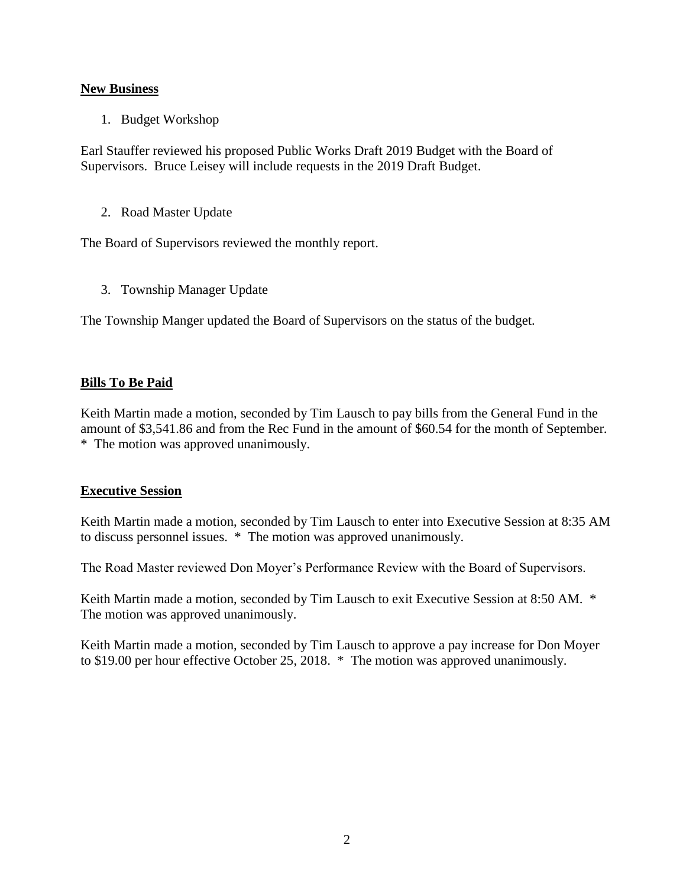# **New Business**

1. Budget Workshop

Earl Stauffer reviewed his proposed Public Works Draft 2019 Budget with the Board of Supervisors. Bruce Leisey will include requests in the 2019 Draft Budget.

2. Road Master Update

The Board of Supervisors reviewed the monthly report.

3. Township Manager Update

The Township Manger updated the Board of Supervisors on the status of the budget.

# **Bills To Be Paid**

Keith Martin made a motion, seconded by Tim Lausch to pay bills from the General Fund in the amount of \$3,541.86 and from the Rec Fund in the amount of \$60.54 for the month of September. \* The motion was approved unanimously.

## **Executive Session**

Keith Martin made a motion, seconded by Tim Lausch to enter into Executive Session at 8:35 AM to discuss personnel issues. \* The motion was approved unanimously.

The Road Master reviewed Don Moyer's Performance Review with the Board of Supervisors.

Keith Martin made a motion, seconded by Tim Lausch to exit Executive Session at 8:50 AM. \* The motion was approved unanimously.

Keith Martin made a motion, seconded by Tim Lausch to approve a pay increase for Don Moyer to \$19.00 per hour effective October 25, 2018. \* The motion was approved unanimously.